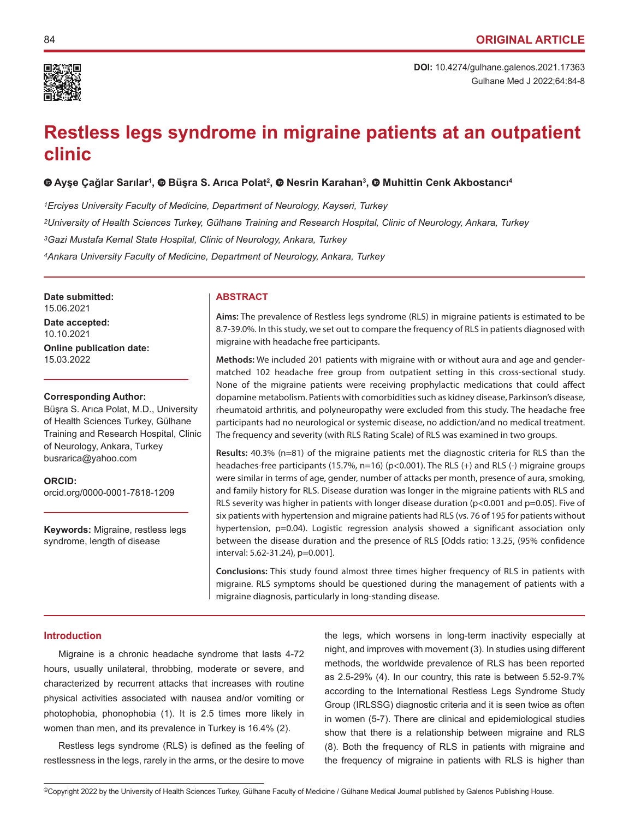

Gulhane Med J 2022;64:84-8 **DOI:** 10.4274/gulhane.galenos.2021.17363

# **Restless legs syndrome in migraine patients at an outpatient clinic**

## **[A](https://orcid.org/0000-0001-7818-1209)yşe Çağlar Sarılar<sup>1</sup> ,Büşra S. Arıca Polat<sup>2</sup> ,Nesrin Karahan3 , Muhittin Cenk Akbostancı<sup>4</sup>**

*1Erciyes University Faculty of Medicine, Department of Neurology, Kayseri, Turkey 2University of Health Sciences Turkey, Gülhane Training and Research Hospital, Clinic of Neurology, Ankara, Turkey 3Gazi Mustafa Kemal State Hospital, Clinic of Neurology, Ankara, Turkey 4Ankara University Faculty of Medicine, Department of Neurology, Ankara, Turkey*

**Date submitted:** 15.06.2021

**Date accepted:** 10.10.2021

**Online publication date:** 15.03.2022

#### **Corresponding Author:**

Büşra S. Arıca Polat, M.D., University of Health Sciences Turkey, Gülhane Training and Research Hospital, Clinic of Neurology, Ankara, Turkey busrarica@yahoo.com

**ORCID:**  orcid.org/0000-0001-7818-1209

**Keywords:** Migraine, restless legs syndrome, length of disease

#### **ABSTRACT**

**Aims:** The prevalence of Restless legs syndrome (RLS) in migraine patients is estimated to be 8.7-39.0%. In this study, we set out to compare the frequency of RLS in patients diagnosed with migraine with headache free participants.

**Methods:** We included 201 patients with migraine with or without aura and age and gendermatched 102 headache free group from outpatient setting in this cross-sectional study. None of the migraine patients were receiving prophylactic medications that could affect dopamine metabolism. Patients with comorbidities such as kidney disease, Parkinson's disease, rheumatoid arthritis, and polyneuropathy were excluded from this study. The headache free participants had no neurological or systemic disease, no addiction/and no medical treatment. The frequency and severity (with RLS Rating Scale) of RLS was examined in two groups.

**Results:** 40.3% (n=81) of the migraine patients met the diagnostic criteria for RLS than the headaches-free participants (15.7%, n=16) (p<0.001). The RLS (+) and RLS (-) migraine groups were similar in terms of age, gender, number of attacks per month, presence of aura, smoking, and family history for RLS. Disease duration was longer in the migraine patients with RLS and RLS severity was higher in patients with longer disease duration (p<0.001 and p=0.05). Five of six patients with hypertension and migraine patients had RLS (vs. 76 of 195 for patients without hypertension, p=0.04). Logistic regression analysis showed a significant association only between the disease duration and the presence of RLS [Odds ratio: 13.25, (95% confidence interval: 5.62-31.24), p=0.001].

**Conclusions:** This study found almost three times higher frequency of RLS in patients with migraine. RLS symptoms should be questioned during the management of patients with a migraine diagnosis, particularly in long-standing disease.

## **Introduction**

Migraine is a chronic headache syndrome that lasts 4-72 hours, usually unilateral, throbbing, moderate or severe, and characterized by recurrent attacks that increases with routine physical activities associated with nausea and/or vomiting or photophobia, phonophobia (1). It is 2.5 times more likely in women than men, and its prevalence in Turkey is 16.4% (2).

Restless legs syndrome (RLS) is defined as the feeling of restlessness in the legs, rarely in the arms, or the desire to move

the legs, which worsens in long-term inactivity especially at night, and improves with movement (3). In studies using different methods, the worldwide prevalence of RLS has been reported as 2.5-29% (4). In our country, this rate is between 5.52-9.7% according to the International Restless Legs Syndrome Study Group (IRLSSG) diagnostic criteria and it is seen twice as often in women (5-7). There are clinical and epidemiological studies show that there is a relationship between migraine and RLS (8). Both the frequency of RLS in patients with migraine and the frequency of migraine in patients with RLS is higher than

<sup>©</sup>Copyright 2022 by the University of Health Sciences Turkey, Gülhane Faculty of Medicine / Gülhane Medical Journal published by Galenos Publishing House.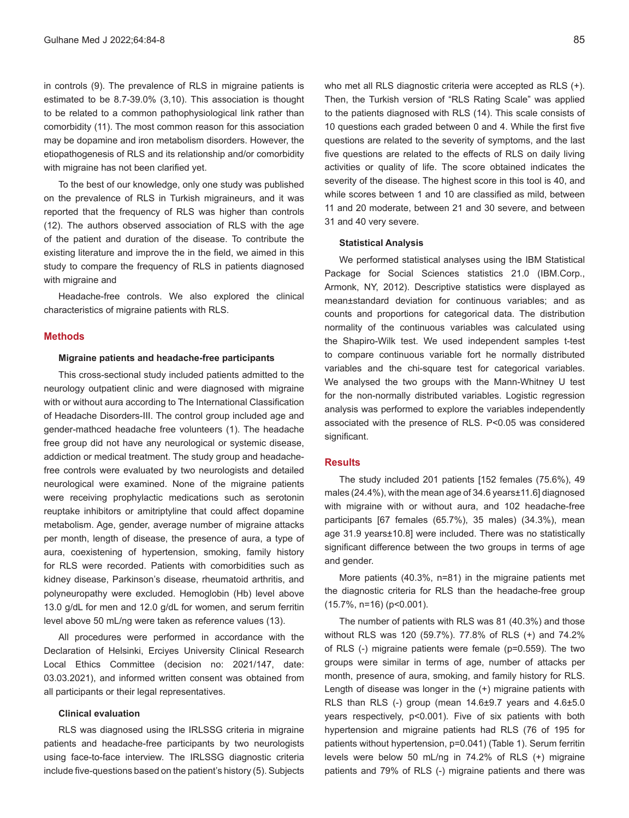in controls (9). The prevalence of RLS in migraine patients is estimated to be 8.7-39.0% (3,10). This association is thought to be related to a common pathophysiological link rather than comorbidity (11). The most common reason for this association may be dopamine and iron metabolism disorders. However, the etiopathogenesis of RLS and its relationship and/or comorbidity with migraine has not been clarified yet.

To the best of our knowledge, only one study was published on the prevalence of RLS in Turkish migraineurs, and it was reported that the frequency of RLS was higher than controls (12). The authors observed association of RLS with the age of the patient and duration of the disease. To contribute the existing literature and improve the in the field, we aimed in this study to compare the frequency of RLS in patients diagnosed with migraine and

Headache-free controls. We also explored the clinical characteristics of migraine patients with RLS.

## **Methods**

## **Migraine patients and headache-free participants**

This cross-sectional study included patients admitted to the neurology outpatient clinic and were diagnosed with migraine with or without aura according to The International Classification of Headache Disorders-III. The control group included age and gender-mathced headache free volunteers (1). The headache free group did not have any neurological or systemic disease, addiction or medical treatment. The study group and headachefree controls were evaluated by two neurologists and detailed neurological were examined. None of the migraine patients were receiving prophylactic medications such as serotonin reuptake inhibitors or amitriptyline that could affect dopamine metabolism. Age, gender, average number of migraine attacks per month, length of disease, the presence of aura, a type of aura, coexistening of hypertension, smoking, family history for RLS were recorded. Patients with comorbidities such as kidney disease, Parkinson's disease, rheumatoid arthritis, and polyneuropathy were excluded. Hemoglobin (Hb) level above 13.0 g/dL for men and 12.0 g/dL for women, and serum ferritin level above 50 mL/ng were taken as reference values (13).

All procedures were performed in accordance with the Declaration of Helsinki, Erciyes University Clinical Research Local Ethics Committee (decision no: 2021/147, date: 03.03.2021), and informed written consent was obtained from all participants or their legal representatives.

#### **Clinical evaluation**

RLS was diagnosed using the IRLSSG criteria in migraine patients and headache-free participants by two neurologists using face-to-face interview. The IRLSSG diagnostic criteria include five-questions based on the patient's history (5). Subjects who met all RLS diagnostic criteria were accepted as RLS (+). Then, the Turkish version of "RLS Rating Scale" was applied to the patients diagnosed with RLS (14). This scale consists of 10 questions each graded between 0 and 4. While the first five questions are related to the severity of symptoms, and the last five questions are related to the effects of RLS on daily living activities or quality of life. The score obtained indicates the severity of the disease. The highest score in this tool is 40, and while scores between 1 and 10 are classified as mild, between 11 and 20 moderate, between 21 and 30 severe, and between 31 and 40 very severe.

#### **Statistical Analysis**

We performed statistical analyses using the IBM Statistical Package for Social Sciences statistics 21.0 (IBM.Corp., Armonk, NY, 2012). Descriptive statistics were displayed as mean±standard deviation for continuous variables; and as counts and proportions for categorical data. The distribution normality of the continuous variables was calculated using the Shapiro-Wilk test. We used independent samples t-test to compare continuous variable fort he normally distributed variables and the chi-square test for categorical variables. We analysed the two groups with the Mann-Whitney U test for the non-normally distributed variables. Logistic regression analysis was performed to explore the variables independently associated with the presence of RLS. P<0.05 was considered significant.

#### **Results**

The study included 201 patients [152 females (75.6%), 49 males (24.4%), with the mean age of 34.6 years±11.6] diagnosed with migraine with or without aura, and 102 headache-free participants [67 females (65.7%), 35 males) (34.3%), mean age 31.9 years±10.8] were included. There was no statistically significant difference between the two groups in terms of age and gender.

More patients (40.3%, n=81) in the migraine patients met the diagnostic criteria for RLS than the headache-free group (15.7%, n=16) (p<0.001).

The number of patients with RLS was 81 (40.3%) and those without RLS was 120 (59.7%). 77.8% of RLS (+) and 74.2% of RLS (-) migraine patients were female (p=0.559). The two groups were similar in terms of age, number of attacks per month, presence of aura, smoking, and family history for RLS. Length of disease was longer in the (+) migraine patients with RLS than RLS (-) group (mean 14.6±9.7 years and 4.6±5.0 years respectively, p<0.001). Five of six patients with both hypertension and migraine patients had RLS (76 of 195 for patients without hypertension, p=0.041) (Table 1). Serum ferritin levels were below 50 mL/ng in 74.2% of RLS (+) migraine patients and 79% of RLS (-) migraine patients and there was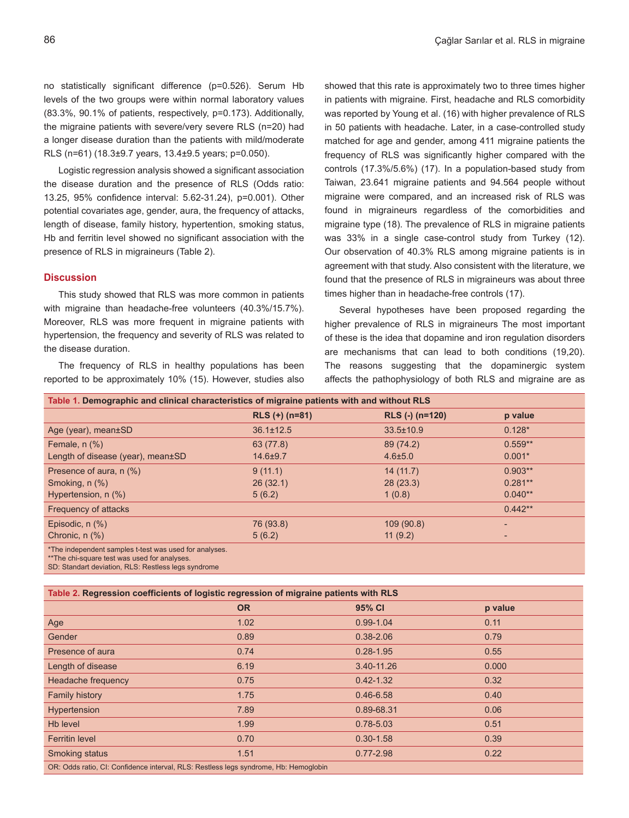no statistically significant difference (p=0.526). Serum Hb levels of the two groups were within normal laboratory values (83.3%, 90.1% of patients, respectively, p=0.173). Additionally, the migraine patients with severe/very severe RLS (n=20) had a longer disease duration than the patients with mild/moderate RLS (n=61) (18.3±9.7 years, 13.4±9.5 years; p=0.050).

Logistic regression analysis showed a significant association the disease duration and the presence of RLS (Odds ratio: 13.25, 95% confidence interval: 5.62-31.24), p=0.001). Other potential covariates age, gender, aura, the frequency of attacks, length of disease, family history, hypertention, smoking status, Hb and ferritin level showed no significant association with the presence of RLS in migraineurs (Table 2).

## **Discussion**

This study showed that RLS was more common in patients with migraine than headache-free volunteers (40.3%/15.7%). Moreover, RLS was more frequent in migraine patients with hypertension, the frequency and severity of RLS was related to the disease duration.

The frequency of RLS in healthy populations has been reported to be approximately 10% (15). However, studies also showed that this rate is approximately two to three times higher in patients with migraine. First, headache and RLS comorbidity was reported by Young et al. (16) with higher prevalence of RLS in 50 patients with headache. Later, in a case-controlled study matched for age and gender, among 411 migraine patients the frequency of RLS was significantly higher compared with the controls (17.3%/5.6%) (17). In a population-based study from Taiwan, 23.641 migraine patients and 94.564 people without migraine were compared, and an increased risk of RLS was found in migraineurs regardless of the comorbidities and migraine type (18). The prevalence of RLS in migraine patients was 33% in a single case-control study from Turkey (12). Our observation of 40.3% RLS among migraine patients is in agreement with that study. Also consistent with the literature, we found that the presence of RLS in migraineurs was about three times higher than in headache-free controls (17).

Several hypotheses have been proposed regarding the higher prevalence of RLS in migraineurs The most important of these is the idea that dopamine and iron regulation disorders are mechanisms that can lead to both conditions (19,20). The reasons suggesting that the dopaminergic system affects the pathophysiology of both RLS and migraine are as

| Table 1. Demographic and clinical characteristics of migraine patients with and without RLS |                  |                 |           |  |  |
|---------------------------------------------------------------------------------------------|------------------|-----------------|-----------|--|--|
|                                                                                             | $RLS (+) (n=81)$ | RLS (-) (n=120) | p value   |  |  |
| Age (year), mean±SD                                                                         | $36.1 \pm 12.5$  | $33.5 \pm 10.9$ | $0.128*$  |  |  |
| Female, $n$ $%$ )                                                                           | 63 (77.8)        | 89 (74.2)       | $0.559**$ |  |  |
| Length of disease (year), mean±SD                                                           | $14.6 + 9.7$     | $4.6 \pm 5.0$   | $0.001*$  |  |  |
| Presence of aura, n (%)                                                                     | 9(11.1)          | 14(11.7)        | $0.903**$ |  |  |
| Smoking, $n$ $(\%)$                                                                         | 26(32.1)         | 28(23.3)        | $0.281**$ |  |  |
| Hypertension, $n$ $(\%)$                                                                    | 5(6.2)           | 1(0.8)          | $0.040**$ |  |  |
| Frequency of attacks                                                                        |                  |                 | $0.442**$ |  |  |
| Episodic, $n$ $(\%)$                                                                        | 76 (93.8)        | 109 (90.8)      |           |  |  |
| Chronic, $n$ $%$ )                                                                          | 5(6.2)           | 11(9.2)         | -         |  |  |
| *The independent samples t-test was used for analyses.                                      |                  |                 |           |  |  |

\*\*The chi-square test was used for analyses. SD: Standart deviation, RLS: Restless legs syndrome

| Table 2. Regression coefficients of logistic regression of migraine patients with RLS |           |               |         |  |  |
|---------------------------------------------------------------------------------------|-----------|---------------|---------|--|--|
|                                                                                       | <b>OR</b> | 95% CI        | p value |  |  |
| Age                                                                                   | 1.02      | $0.99 - 1.04$ | 0.11    |  |  |
| Gender                                                                                | 0.89      | $0.38 - 2.06$ | 0.79    |  |  |
| Presence of aura                                                                      | 0.74      | $0.28 - 1.95$ | 0.55    |  |  |
| Length of disease                                                                     | 6.19      | 3.40-11.26    | 0.000   |  |  |
| Headache frequency                                                                    | 0.75      | $0.42 - 1.32$ | 0.32    |  |  |
| <b>Family history</b>                                                                 | 1.75      | $0.46 - 6.58$ | 0.40    |  |  |
| Hypertension                                                                          | 7.89      | 0.89-68.31    | 0.06    |  |  |
| Hb level                                                                              | 1.99      | $0.78 - 5.03$ | 0.51    |  |  |
| <b>Ferritin level</b>                                                                 | 0.70      | $0.30 - 1.58$ | 0.39    |  |  |
| <b>Smoking status</b>                                                                 | 1.51      | $0.77 - 2.98$ | 0.22    |  |  |
| OR: Odds ratio, CI: Confidence interval, RLS: Restless legs syndrome, Hb: Hemoglobin  |           |               |         |  |  |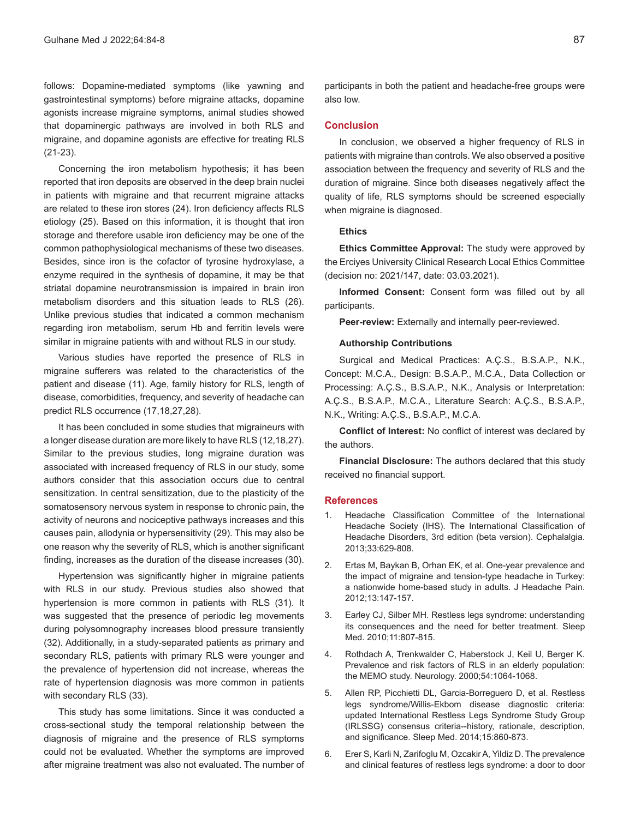follows: Dopamine-mediated symptoms (like yawning and gastrointestinal symptoms) before migraine attacks, dopamine agonists increase migraine symptoms, animal studies showed that dopaminergic pathways are involved in both RLS and migraine, and dopamine agonists are effective for treating RLS (21-23).

Concerning the iron metabolism hypothesis; it has been reported that iron deposits are observed in the deep brain nuclei in patients with migraine and that recurrent migraine attacks are related to these iron stores (24). Iron deficiency affects RLS etiology (25). Based on this information, it is thought that iron storage and therefore usable iron deficiency may be one of the common pathophysiological mechanisms of these two diseases. Besides, since iron is the cofactor of tyrosine hydroxylase, a enzyme required in the synthesis of dopamine, it may be that striatal dopamine neurotransmission is impaired in brain iron metabolism disorders and this situation leads to RLS (26). Unlike previous studies that indicated a common mechanism regarding iron metabolism, serum Hb and ferritin levels were similar in migraine patients with and without RLS in our study.

Various studies have reported the presence of RLS in migraine sufferers was related to the characteristics of the patient and disease (11). Age, family history for RLS, length of disease, comorbidities, frequency, and severity of headache can predict RLS occurrence (17,18,27,28).

It has been concluded in some studies that migraineurs with a longer disease duration are more likely to have RLS (12,18,27). Similar to the previous studies, long migraine duration was associated with increased frequency of RLS in our study, some authors consider that this association occurs due to central sensitization. In central sensitization, due to the plasticity of the somatosensory nervous system in response to chronic pain, the activity of neurons and nociceptive pathways increases and this causes pain, allodynia or hypersensitivity (29). This may also be one reason why the severity of RLS, which is another significant finding, increases as the duration of the disease increases (30).

Hypertension was significantly higher in migraine patients with RLS in our study. Previous studies also showed that hypertension is more common in patients with RLS (31). It was suggested that the presence of periodic leg movements during polysomnography increases blood pressure transiently (32). Additionally, in a study-separated patients as primary and secondary RLS, patients with primary RLS were younger and the prevalence of hypertension did not increase, whereas the rate of hypertension diagnosis was more common in patients with secondary RLS (33).

This study has some limitations. Since it was conducted a cross-sectional study the temporal relationship between the diagnosis of migraine and the presence of RLS symptoms could not be evaluated. Whether the symptoms are improved after migraine treatment was also not evaluated. The number of

participants in both the patient and headache-free groups were also low.

#### **Conclusion**

In conclusion, we observed a higher frequency of RLS in patients with migraine than controls. We also observed a positive association between the frequency and severity of RLS and the duration of migraine. Since both diseases negatively affect the quality of life, RLS symptoms should be screened especially when migraine is diagnosed.

## **Ethics**

**Ethics Committee Approval:** The study were approved by the Erciyes University Clinical Research Local Ethics Committee (decision no: 2021/147, date: 03.03.2021).

**Informed Consent:** Consent form was filled out by all participants.

**Peer-review:** Externally and internally peer-reviewed.

### **Authorship Contributions**

Surgical and Medical Practices: A.Ç.S., B.S.A.P., N.K., Concept: M.C.A., Design: B.S.A.P., M.C.A., Data Collection or Processing: A.Ç.S., B.S.A.P., N.K., Analysis or Interpretation: A.Ç.S., B.S.A.P., M.C.A., Literature Search: A.Ç.S., B.S.A.P., N.K., Writing: A.Ç.S., B.S.A.P., M.C.A.

**Conflict of Interest:** No conflict of interest was declared by the authors.

**Financial Disclosure:** The authors declared that this study received no financial support.

#### **References**

- 1. Headache Classification Committee of the International Headache Society (IHS). The International Classification of Headache Disorders, 3rd edition (beta version). Cephalalgia. 2013;33:629-808.
- 2. Ertas M, Baykan B, Orhan EK, et al. One-year prevalence and the impact of migraine and tension-type headache in Turkey: a nationwide home-based study in adults. J Headache Pain. 2012;13:147-157.
- 3. Earley CJ, Silber MH. Restless legs syndrome: understanding its consequences and the need for better treatment. Sleep Med. 2010;11:807-815.
- 4. Rothdach A, Trenkwalder C, Haberstock J, Keil U, Berger K. Prevalence and risk factors of RLS in an elderly population: the MEMO study. Neurology. 2000;54:1064-1068.
- 5. Allen RP, Picchietti DL, Garcia-Borreguero D, et al. Restless legs syndrome/Willis-Ekbom disease diagnostic criteria: updated International Restless Legs Syndrome Study Group (IRLSSG) consensus criteria--history, rationale, description, and significance. Sleep Med. 2014;15:860-873.
- 6. Erer S, Karli N, Zarifoglu M, Ozcakir A, Yildiz D. The prevalence and clinical features of restless legs syndrome: a door to door